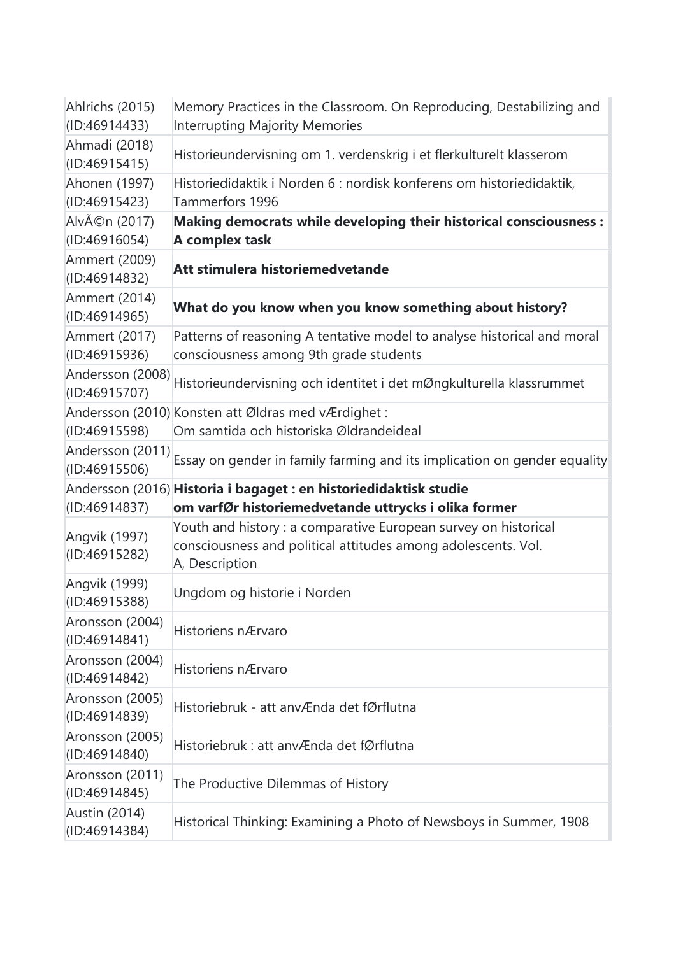| Ahlrichs (2015)<br>(ID:46914433)      | Memory Practices in the Classroom. On Reproducing, Destabilizing and<br>Interrupting Majority Memories                                             |
|---------------------------------------|----------------------------------------------------------------------------------------------------------------------------------------------------|
| Ahmadi (2018)<br>(ID:46915415)        | Historieundervisning om 1. verdenskrig i et flerkulturelt klasserom                                                                                |
| Ahonen (1997)<br>(ID:46915423)        | Historiedidaktik i Norden 6 : nordisk konferens om historiedidaktik,<br>Tammerfors 1996                                                            |
| Alvén (2017)<br>(1D:46916054)         | Making democrats while developing their historical consciousness :<br>A complex task                                                               |
| Ammert (2009)<br>(ID:46914832)        | Att stimulera historiemedvetande                                                                                                                   |
| Ammert (2014)<br>(ID:46914965)        | What do you know when you know something about history?                                                                                            |
| <b>Ammert (2017)</b><br>(ID:46915936) | Patterns of reasoning A tentative model to analyse historical and moral<br>consciousness among 9th grade students                                  |
| Andersson (2008)<br>(ID:46915707)     | Historieundervisning och identitet i det mØngkulturella klassrummet                                                                                |
| (ID:46915598)                         | Andersson (2010) Konsten att Øldras med vÆrdighet:<br>Om samtida och historiska Øldrandeideal                                                      |
|                                       | Andersson (2011) Essay on gender in family farming and its implication on gender equality                                                          |
| (ID:46914837)                         | Andersson (2016) Historia i bagaget : en historiedidaktisk studie<br>om varfØr historiemedvetande uttrycks i olika former                          |
| Angvik (1997)<br>(ID:46915282)        | Youth and history : a comparative European survey on historical<br>consciousness and political attitudes among adolescents. Vol.<br>A, Description |
| Angvik (1999)<br>(ID:46915388)        | Ungdom og historie i Norden                                                                                                                        |
| Aronsson (2004)<br>(ID:46914841)      | Historiens nÆrvaro                                                                                                                                 |
| Aronsson (2004)<br>(ID:46914842)      | Historiens nÆrvaro                                                                                                                                 |
| Aronsson (2005)<br>(ID:46914839)      | Historiebruk - att anvÆnda det fØrflutna                                                                                                           |
| Aronsson (2005)<br>(ID:46914840)      | Historiebruk : att anvÆnda det fØrflutna                                                                                                           |
| Aronsson (2011)<br>(ID:46914845)      | The Productive Dilemmas of History                                                                                                                 |
| Austin (2014)<br>(ID:46914384)        | Historical Thinking: Examining a Photo of Newsboys in Summer, 1908                                                                                 |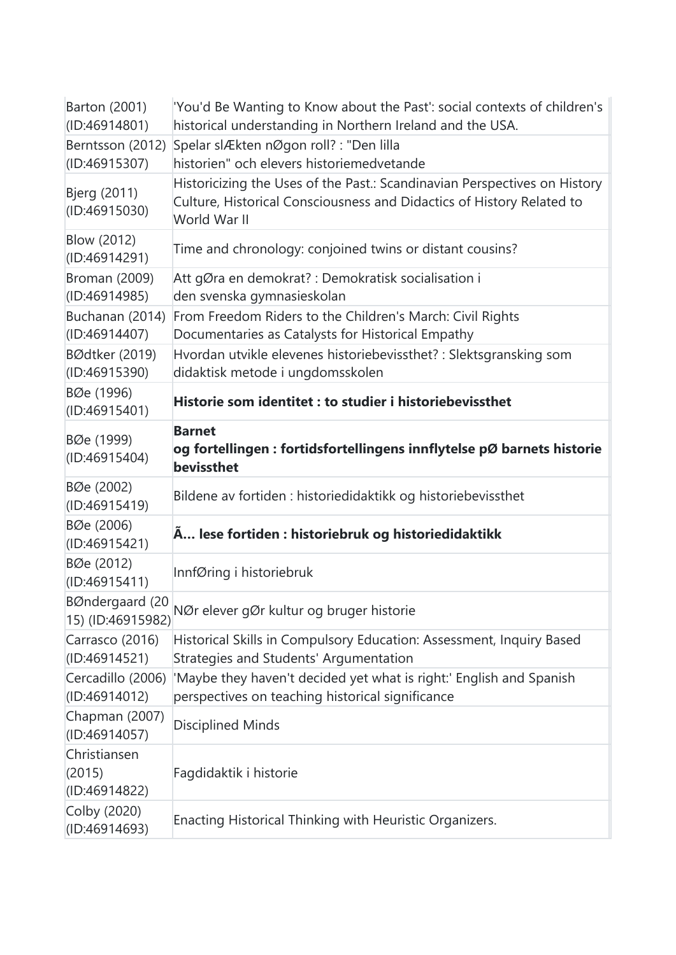| Barton (2001)<br>(ID:46914801)          | 'You'd Be Wanting to Know about the Past': social contexts of children's<br>historical understanding in Northern Ireland and the USA.                              |
|-----------------------------------------|--------------------------------------------------------------------------------------------------------------------------------------------------------------------|
| Berntsson (2012)<br>(ID:46915307)       | Spelar slÆkten nØgon roll? : "Den lilla<br>historien" och elevers historiemedvetande                                                                               |
| Bjerg (2011)<br>(ID:46915030)           | Historicizing the Uses of the Past.: Scandinavian Perspectives on History<br>Culture, Historical Consciousness and Didactics of History Related to<br>World War II |
| <b>Blow (2012)</b><br>(ID:46914291)     | Time and chronology: conjoined twins or distant cousins?                                                                                                           |
| Broman (2009)<br>(ID:46914985)          | Att gØra en demokrat? : Demokratisk socialisation i<br>den svenska gymnasieskolan                                                                                  |
| Buchanan (2014)<br>(ID:46914407)        | From Freedom Riders to the Children's March: Civil Rights<br>Documentaries as Catalysts for Historical Empathy                                                     |
| BØdtker (2019)<br>(ID:46915390)         | Hvordan utvikle elevenes historiebevissthet? : Slektsgransking som<br>didaktisk metode i ungdomsskolen                                                             |
| BØe (1996)<br>(ID:46915401)             | Historie som identitet : to studier i historiebevissthet                                                                                                           |
| BØe (1999)<br>(ID:46915404)             | <b>Barnet</b><br>og fortellingen : fortidsfortellingens innflytelse pØ barnets historie<br>bevissthet                                                              |
| BØe (2002)<br>(ID:46915419)             | Bildene av fortiden : historiedidaktikk og historiebevissthet                                                                                                      |
| BØe (2006)<br>(ID:46915421)             | Å lese fortiden : historiebruk og historiedidaktikk                                                                                                                |
| BØe (2012)<br>(ID:46915411)             | InnfØring i historiebruk                                                                                                                                           |
| BØndergaard (20<br>15) (ID:46915982)    | NØr elever gØr kultur og bruger historie                                                                                                                           |
| Carrasco (2016)<br>(ID:46914521)        | Historical Skills in Compulsory Education: Assessment, Inquiry Based<br>Strategies and Students' Argumentation                                                     |
| Cercadillo (2006)<br>(ID:46914012)      | 'Maybe they haven't decided yet what is right:' English and Spanish<br>perspectives on teaching historical significance                                            |
| Chapman (2007)<br>(ID:46914057)         | Disciplined Minds                                                                                                                                                  |
| Christiansen<br>(2015)<br>(ID:46914822) | Fagdidaktik i historie                                                                                                                                             |
| Colby (2020)<br>(ID:46914693)           | Enacting Historical Thinking with Heuristic Organizers.                                                                                                            |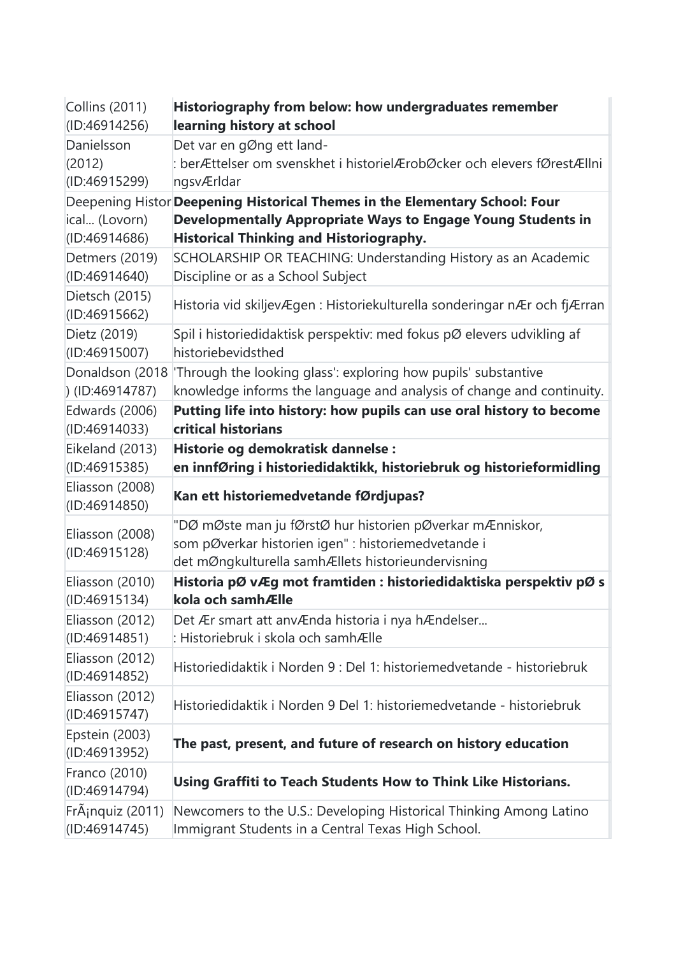| Collins (2011)                   | Historiography from below: how undergraduates remember                                                                                                                                        |
|----------------------------------|-----------------------------------------------------------------------------------------------------------------------------------------------------------------------------------------------|
| (ID:46914256)                    | learning history at school                                                                                                                                                                    |
| Danielsson                       | Det var en gØng ett land-                                                                                                                                                                     |
| (2012)                           | : berÆttelser om svenskhet i historielÆrobØcker och elevers fØrestÆllni                                                                                                                       |
| (ID:46915299)                    | ngsvÆrldar                                                                                                                                                                                    |
| ical (Lovorn)<br>(ID:46914686)   | Deepening Histor Deepening Historical Themes in the Elementary School: Four<br>Developmentally Appropriate Ways to Engage Young Students in<br><b>Historical Thinking and Historiography.</b> |
| Detmers (2019)                   | SCHOLARSHIP OR TEACHING: Understanding History as an Academic                                                                                                                                 |
| (ID:46914640)                    | Discipline or as a School Subject                                                                                                                                                             |
| Dietsch (2015)<br>(ID:46915662)  | Historia vid skiljevÆgen : Historiekulturella sonderingar nÆr och fjÆrran                                                                                                                     |
| Dietz (2019)                     | Spil i historiedidaktisk perspektiv: med fokus pØ elevers udvikling af                                                                                                                        |
| (ID:46915007)                    | historiebevidsthed                                                                                                                                                                            |
| Donaldson (2018                  | 'Through the looking glass': exploring how pupils' substantive                                                                                                                                |
| $)$ (ID:46914787)                | knowledge informs the language and analysis of change and continuity.                                                                                                                         |
| Edwards (2006)                   | Putting life into history: how pupils can use oral history to become                                                                                                                          |
| (ID:46914033)                    | critical historians                                                                                                                                                                           |
| Eikeland (2013)                  | Historie og demokratisk dannelse:                                                                                                                                                             |
| (ID:46915385)                    | en innfØring i historiedidaktikk, historiebruk og historieformidling                                                                                                                          |
| Eliasson (2008)<br>(ID:46914850) | Kan ett historiemedvetande fØrdjupas?                                                                                                                                                         |
| Eliasson (2008)<br>(ID:46915128) | "DØ mØste man ju fØrstØ hur historien pØverkar mÆnniskor,<br>som pØverkar historien igen" : historiemedvetande i<br>det mØngkulturella samhÆllets historieundervisning                        |
| Eliasson (2010)                  | Historia pØ vÆg mot framtiden : historiedidaktiska perspektiv pØ s                                                                                                                            |
| (ID:46915134)                    | kola och samhÆlle                                                                                                                                                                             |
| Eliasson (2012)                  | Det Ær smart att anvÆnda historia i nya hÆndelser                                                                                                                                             |
| (ID:46914851)                    | : Historiebruk i skola och samhÆlle                                                                                                                                                           |
| Eliasson (2012)<br>(ID:46914852) | Historiedidaktik i Norden 9 : Del 1: historiemedvetande - historiebruk                                                                                                                        |
| Eliasson (2012)<br>(ID:46915747) | Historiedidaktik i Norden 9 Del 1: historiemedvetande - historiebruk                                                                                                                          |
| Epstein (2003)<br>(ID:46913952)  | The past, present, and future of research on history education                                                                                                                                |
| Franco (2010)<br>(ID:46914794)   | Using Graffiti to Teach Students How to Think Like Historians.                                                                                                                                |
| Fránquiz (2011)                  | Newcomers to the U.S.: Developing Historical Thinking Among Latino                                                                                                                            |
| (ID:46914745)                    | Immigrant Students in a Central Texas High School.                                                                                                                                            |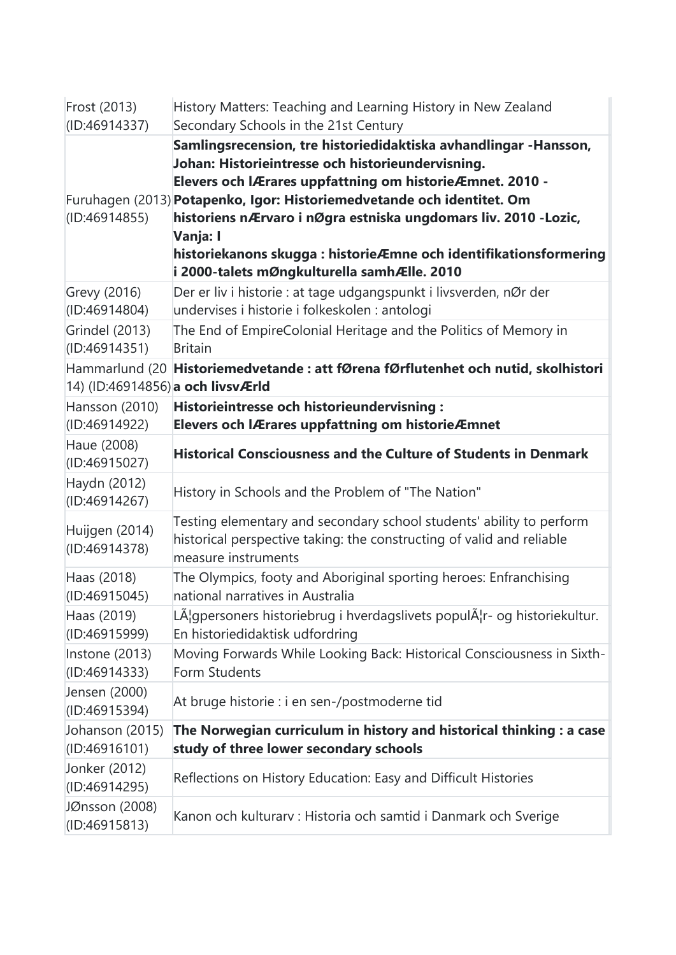| Frost (2013)                      | History Matters: Teaching and Learning History in New Zealand                                                                                                                                                                                                                                                                                                                              |
|-----------------------------------|--------------------------------------------------------------------------------------------------------------------------------------------------------------------------------------------------------------------------------------------------------------------------------------------------------------------------------------------------------------------------------------------|
| (ID:46914337)                     | Secondary Schools in the 21st Century<br>Samlingsrecension, tre historiedidaktiska avhandlingar -Hansson,                                                                                                                                                                                                                                                                                  |
| (1D:46914855)                     | Johan: Historieintresse och historieundervisning.<br>Elevers och IÆrares uppfattning om historieÆmnet. 2010 -<br>Furuhagen (2013) Potapenko, Igor: Historiemedvetande och identitet. Om<br>historiens nÆrvaro i nØgra estniska ungdomars liv. 2010 -Lozic,<br>Vanja: I<br>historiekanons skugga : historieÆmne och identifikationsformering<br>i 2000-talets mØngkulturella samhÆlle. 2010 |
| Grevy (2016)<br>(ID:46914804)     | Der er liv i historie : at tage udgangspunkt i livsverden, nØr der<br>undervises i historie i folkeskolen : antologi                                                                                                                                                                                                                                                                       |
| Grindel (2013)<br>(ID:46914351)   | The End of EmpireColonial Heritage and the Politics of Memory in<br><b>Britain</b>                                                                                                                                                                                                                                                                                                         |
| 14) (ID:46914856) a och livsvÆrld | Hammarlund (20 Historiemedvetande : att fØrena fØrflutenhet och nutid, skolhistori                                                                                                                                                                                                                                                                                                         |
| Hansson (2010)<br>(ID:46914922)   | Historieintresse och historieundervisning:<br>Elevers och IÆrares uppfattning om historieÆmnet                                                                                                                                                                                                                                                                                             |
| Haue (2008)<br>(ID:46915027)      | <b>Historical Consciousness and the Culture of Students in Denmark</b>                                                                                                                                                                                                                                                                                                                     |
| Haydn (2012)<br>(ID:46914267)     | History in Schools and the Problem of "The Nation"                                                                                                                                                                                                                                                                                                                                         |
| Huijgen (2014)<br>(ID:46914378)   | Testing elementary and secondary school students' ability to perform<br>historical perspective taking: the constructing of valid and reliable<br>measure instruments                                                                                                                                                                                                                       |
| Haas (2018)<br>(ID:46915045)      | The Olympics, footy and Aboriginal sporting heroes: Enfranchising<br>national narratives in Australia                                                                                                                                                                                                                                                                                      |
| Haas (2019)<br>(ID:46915999)      | LA¦gpersoners historiebrug i hverdagslivets populA r- og historiekultur.<br>En historiedidaktisk udfordring                                                                                                                                                                                                                                                                                |
| Instone (2013)<br>(ID:46914333)   | Moving Forwards While Looking Back: Historical Consciousness in Sixth-<br>Form Students                                                                                                                                                                                                                                                                                                    |
| Jensen (2000)<br>(ID:46915394)    | At bruge historie : i en sen-/postmoderne tid                                                                                                                                                                                                                                                                                                                                              |
| Johanson (2015)<br>(ID:46916101)  | The Norwegian curriculum in history and historical thinking : a case<br>study of three lower secondary schools                                                                                                                                                                                                                                                                             |
| Jonker (2012)<br>(ID:46914295)    | Reflections on History Education: Easy and Difficult Histories                                                                                                                                                                                                                                                                                                                             |
| JØnsson (2008)<br>(ID:46915813)   | Kanon och kulturarv : Historia och samtid i Danmark och Sverige                                                                                                                                                                                                                                                                                                                            |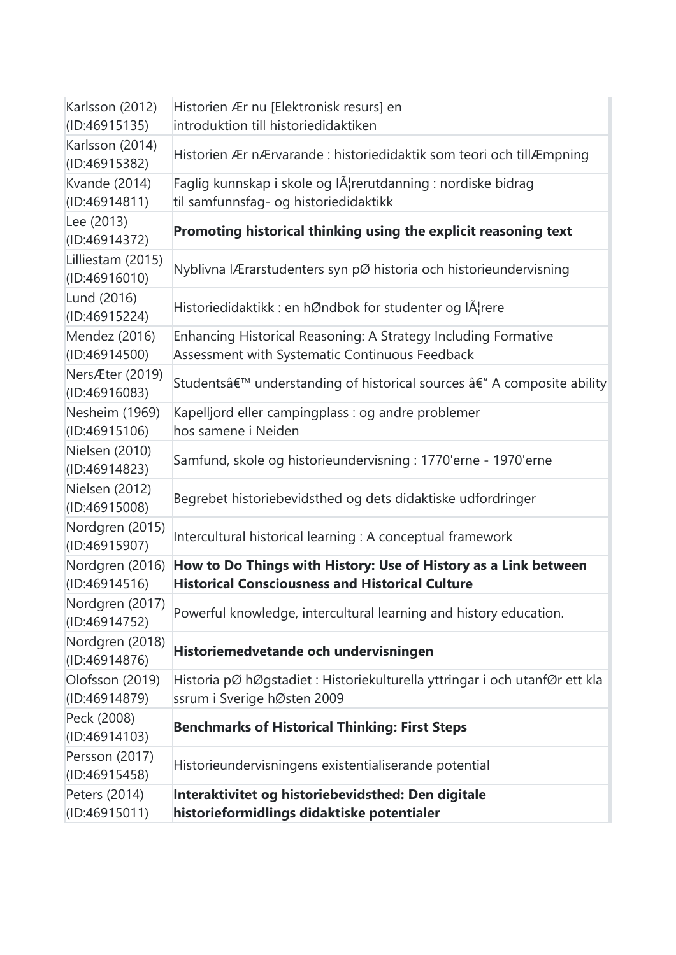| Karlsson (2012)<br>(ID:46915135)   | Historien Ær nu [Elektronisk resurs] en<br>introduktion till historiedidaktiken                                           |
|------------------------------------|---------------------------------------------------------------------------------------------------------------------------|
| Karlsson (2014)<br>(ID:46915382)   | Historien Ær nÆrvarande : historiedidaktik som teori och tillÆmpning                                                      |
| Kvande (2014)<br>(ID:46914811)     | Faglig kunnskap i skole og IA¦rerutdanning : nordiske bidrag<br>til samfunnsfag- og historiedidaktikk                     |
| Lee (2013)<br>(ID:46914372)        | Promoting historical thinking using the explicit reasoning text                                                           |
| Lilliestam (2015)<br>(ID:46916010) | Nyblivna lÆrarstudenters syn pØ historia och historieundervisning                                                         |
| Lund (2016)<br>(ID:46915224)       | Historiedidaktikk : en hØndbok for studenter og lĦrere                                                                    |
| Mendez (2016)<br>(ID:46914500)     | Enhancing Historical Reasoning: A Strategy Including Formative<br>Assessment with Systematic Continuous Feedback          |
| NersÆter (2019)<br>(ID:46916083)   | Students' understanding of historical sources â€" A composite ability                                                     |
| Nesheim (1969)<br>(ID:46915106)    | Kapelljord eller campingplass : og andre problemer<br>hos samene i Neiden                                                 |
| Nielsen (2010)<br>(ID:46914823)    | Samfund, skole og historieundervisning : 1770'erne - 1970'erne                                                            |
| Nielsen (2012)<br>(ID:46915008)    | Begrebet historiebevidsthed og dets didaktiske udfordringer                                                               |
| Nordgren (2015)<br>(ID:46915907)   | Intercultural historical learning : A conceptual framework                                                                |
| Nordgren (2016)<br>(ID:46914516)   | How to Do Things with History: Use of History as a Link between<br><b>Historical Consciousness and Historical Culture</b> |
| Nordgren (2017)<br>(ID:46914752)   | Powerful knowledge, intercultural learning and history education.                                                         |
| Nordgren (2018)<br>(ID:46914876)   | Historiemedvetande och undervisningen                                                                                     |
| Olofsson (2019)<br>(ID:46914879)   | Historia pØ hØgstadiet : Historiekulturella yttringar i och utanfØr ett kla<br>ssrum i Sverige hØsten 2009                |
| Peck (2008)<br>(ID:46914103)       | <b>Benchmarks of Historical Thinking: First Steps</b>                                                                     |
| Persson (2017)<br>(ID:46915458)    | Historieundervisningens existentialiserande potential                                                                     |
| Peters (2014)<br>(ID:46915011)     | Interaktivitet og historiebevidsthed: Den digitale<br>historieformidlings didaktiske potentialer                          |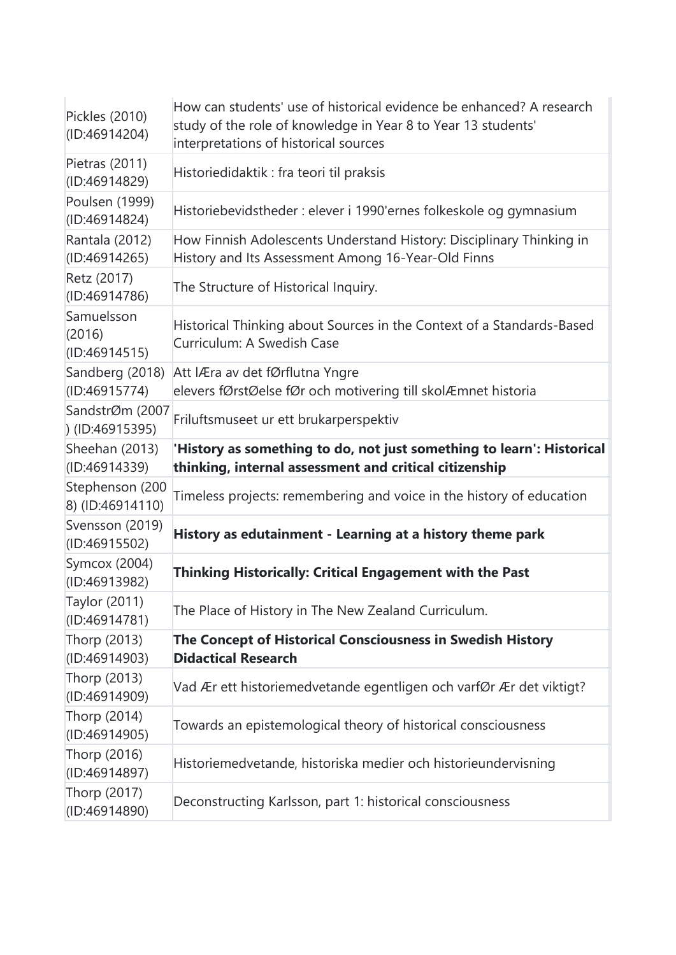| Pickles (2010)<br>(ID:46914204)       | How can students' use of historical evidence be enhanced? A research<br>study of the role of knowledge in Year 8 to Year 13 students'<br>interpretations of historical sources |
|---------------------------------------|--------------------------------------------------------------------------------------------------------------------------------------------------------------------------------|
| Pietras (2011)<br>(ID:46914829)       | Historiedidaktik : fra teori til praksis                                                                                                                                       |
| Poulsen (1999)<br>(ID:46914824)       | Historiebevidstheder : elever i 1990'ernes folkeskole og gymnasium                                                                                                             |
| Rantala (2012)<br>(ID:46914265)       | How Finnish Adolescents Understand History: Disciplinary Thinking in<br>History and Its Assessment Among 16-Year-Old Finns                                                     |
| Retz (2017)<br>(ID:46914786)          | The Structure of Historical Inquiry.                                                                                                                                           |
| Samuelsson<br>(2016)<br>(ID:46914515) | Historical Thinking about Sources in the Context of a Standards-Based<br>Curriculum: A Swedish Case                                                                            |
| Sandberg (2018)<br>(ID:46915774)      | Att IÆra av det fØrflutna Yngre<br>elevers fØrstØelse fØr och motivering till skolÆmnet historia                                                                               |
| SandstrØm (2007<br>$)$ (ID:46915395)  | Friluftsmuseet ur ett brukarperspektiv                                                                                                                                         |
| Sheehan (2013)<br>(ID:46914339)       | 'History as something to do, not just something to learn': Historical<br>thinking, internal assessment and critical citizenship                                                |
| Stephenson (200<br>8) (ID:46914110)   | Timeless projects: remembering and voice in the history of education                                                                                                           |
| Svensson (2019)<br>(ID:46915502)      | History as edutainment - Learning at a history theme park                                                                                                                      |
| Symcox (2004)<br>(ID:46913982)        | Thinking Historically: Critical Engagement with the Past                                                                                                                       |
| Taylor (2011)<br>(ID:46914781)        | The Place of History in The New Zealand Curriculum.                                                                                                                            |
| Thorp (2013)<br>(ID:46914903)         | The Concept of Historical Consciousness in Swedish History<br><b>Didactical Research</b>                                                                                       |
| Thorp (2013)<br>(ID:46914909)         | Vad Ær ett historiemedvetande egentligen och varfØr Ær det viktigt?                                                                                                            |
| Thorp (2014)<br>(ID:46914905)         | Towards an epistemological theory of historical consciousness                                                                                                                  |
| Thorp (2016)<br>(ID:46914897)         | Historiemedvetande, historiska medier och historieundervisning                                                                                                                 |
| Thorp (2017)<br>(ID:46914890)         | Deconstructing Karlsson, part 1: historical consciousness                                                                                                                      |